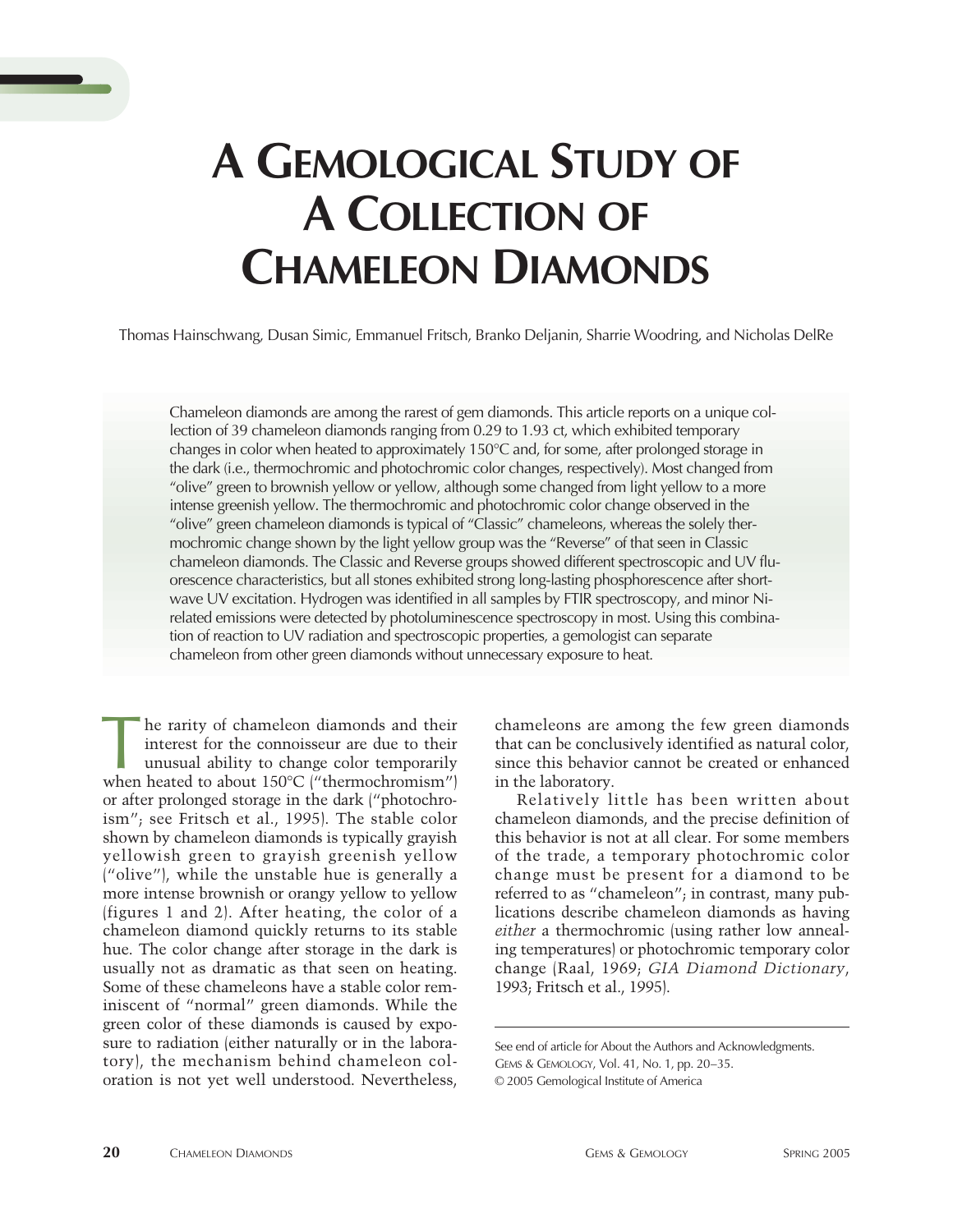

# **A GEMOLOGICAL STUDY OF A COLLECTION OF CHAMELEON DIAMONDS**

Thomas Hainschwang, Dusan Simic, Emmanuel Fritsch, Branko Deljanin, Sharrie Woodring, and Nicholas DelRe

Chameleon diamonds are among the rarest of gem diamonds. This article reports on a unique collection of 39 chameleon diamonds ranging from 0.29 to 1.93 ct, which exhibited temporary changes in color when heated to approximately 150°C and, for some, after prolonged storage in the dark (i.e., thermochromic and photochromic color changes, respectively). Most changed from "olive" green to brownish yellow or yellow, although some changed from light yellow to a more intense greenish yellow. The thermochromic and photochromic color change observed in the "olive" green chameleon diamonds is typical of "Classic" chameleons, whereas the solely thermochromic change shown by the light yellow group was the "Reverse" of that seen in Classic chameleon diamonds. The Classic and Reverse groups showed different spectroscopic and UV fluorescence characteristics, but all stones exhibited strong long-lasting phosphorescence after shortwave UV excitation. Hydrogen was identified in all samples by FTIR spectroscopy, and minor Nirelated emissions were detected by photoluminescence spectroscopy in most. Using this combination of reaction to UV radiation and spectroscopic properties, a gemologist can separate chameleon from other green diamonds without unnecessary exposure to heat.

he rarity of chameleon diamonds and their interest for the connoisseur are due to their unusual ability to change color temporarily The rarity of chameleon diamonds and their<br>interest for the connoisseur are due to their<br>unusual ability to change color temporarily<br>when heated to about 150°C ("thermochromism") or after prolonged storage in the dark ("photochroism"; see Fritsch et al., 1995). The stable color shown by chameleon diamonds is typically grayish yellowish green to grayish greenish yellow ("olive"), while the unstable hue is generally a more intense brownish or orangy yellow to yellow (figures 1 and 2). After heating, the color of a chameleon diamond quickly returns to its stable hue. The color change after storage in the dark is usually not as dramatic as that seen on heating. Some of these chameleons have a stable color reminiscent of "normal" green diamonds. While the green color of these diamonds is caused by exposure to radiation (either naturally or in the laboratory), the mechanism behind chameleon coloration is not yet well understood. Nevertheless,

chameleons are among the few green diamonds that can be conclusively identified as natural color, since this behavior cannot be created or enhanced in the laboratory.

Relatively little has been written about chameleon diamonds, and the precise definition of this behavior is not at all clear. For some members of the trade, a temporary photochromic color change must be present for a diamond to be referred to as "chameleon"; in contrast, many publications describe chameleon diamonds as having *either* a thermochromic (using rather low annealing temperatures) or photochromic temporary color change (Raal, 1969; *GIA Diamond Dictionary*, 1993; Fritsch et al., 1995).

See end of article for About the Authors and Acknowledgments.

GEMS & GEMOLOGY, Vol. 41, No. 1, pp. 20–35.

<sup>© 2005</sup> Gemological Institute of America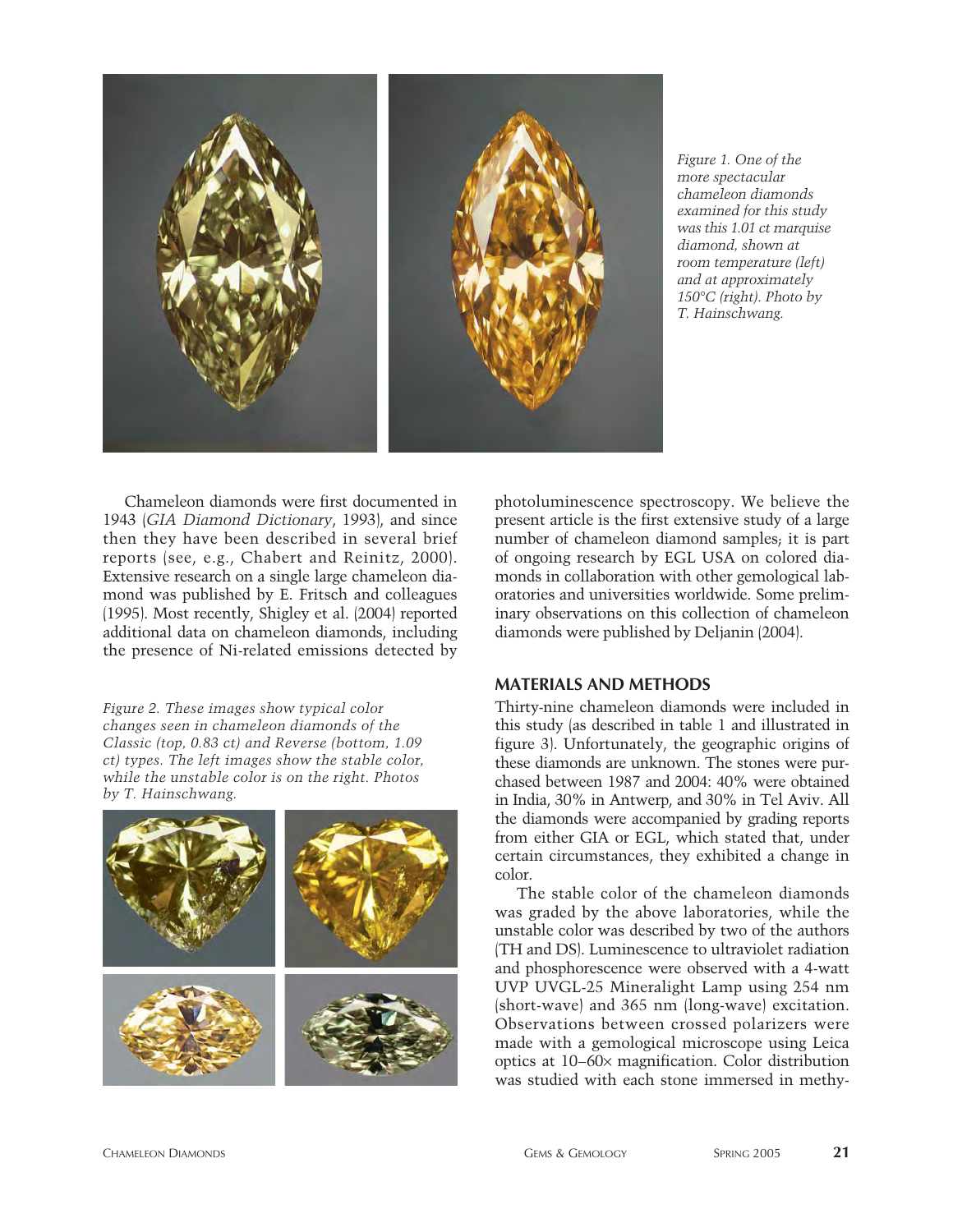

*Figure 1. One of the more spectacular chameleon diamonds examined for this study was this 1.01 ct marquise diamond, shown at room temperature (left) and at approximately 150°C (right). Photo by T. Hainschwang.* 

Chameleon diamonds were first documented in 1943 (*GIA Diamond Dictionary*, 1993), and since then they have been described in several brief reports (see, e.g., Chabert and Reinitz, 2000). Extensive research on a single large chameleon diamond was published by E. Fritsch and colleagues (1995). Most recently, Shigley et al. (2004) reported additional data on chameleon diamonds, including the presence of Ni-related emissions detected by

*Figure 2. These images show typical color changes seen in chameleon diamonds of the Classic (top, 0.83 ct) and Reverse (bottom, 1.09 ct) types. The left images show the stable color, while the unstable color is on the right. Photos by T. Hainschwang.*



photoluminescence spectroscopy. We believe the present article is the first extensive study of a large number of chameleon diamond samples; it is part of ongoing research by EGL USA on colored diamonds in collaboration with other gemological laboratories and universities worldwide. Some preliminary observations on this collection of chameleon diamonds were published by Deljanin (2004).

## **MATERIALS AND METHODS**

Thirty-nine chameleon diamonds were included in this study (as described in table 1 and illustrated in figure 3). Unfortunately, the geographic origins of these diamonds are unknown. The stones were purchased between 1987 and 2004: 40% were obtained in India, 30% in Antwerp, and 30% in Tel Aviv. All the diamonds were accompanied by grading reports from either GIA or EGL, which stated that, under certain circumstances, they exhibited a change in color.

The stable color of the chameleon diamonds was graded by the above laboratories, while the unstable color was described by two of the authors (TH and DS). Luminescence to ultraviolet radiation and phosphorescence were observed with a 4-watt UVP UVGL-25 Mineralight Lamp using 254 nm (short-wave) and 365 nm (long-wave) excitation. Observations between crossed polarizers were made with a gemological microscope using Leica optics at 10–60¥ magnification. Color distribution was studied with each stone immersed in methy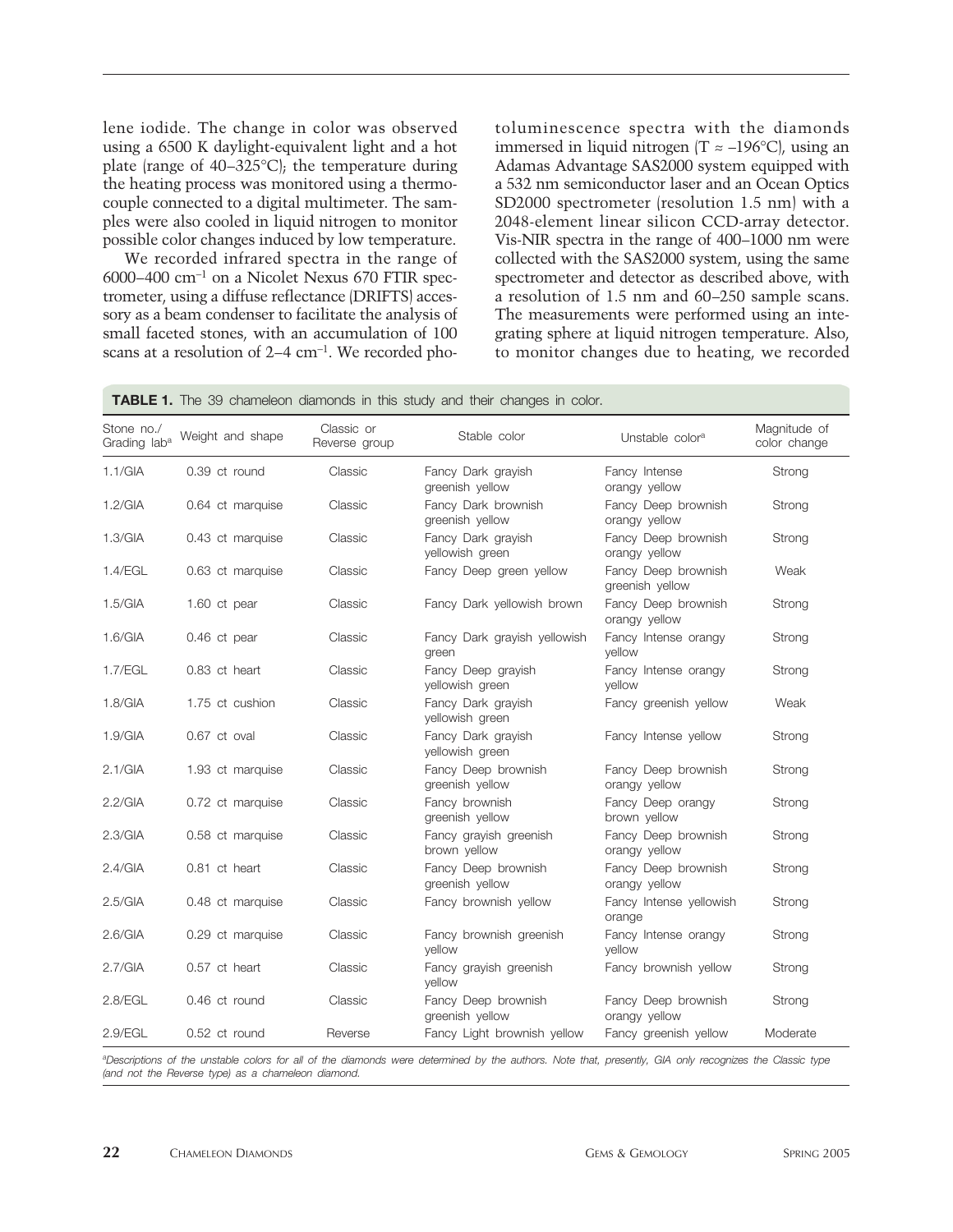lene iodide. The change in color was observed using a 6500 K daylight-equivalent light and a hot plate (range of 40–325°C); the temperature during the heating process was monitored using a thermocouple connected to a digital multimeter. The samples were also cooled in liquid nitrogen to monitor possible color changes induced by low temperature.

We recorded infrared spectra in the range of 6000–400  $cm^{-1}$  on a Nicolet Nexus 670 FTIR spectrometer, using a diffuse reflectance (DRIFTS) accessory as a beam condenser to facilitate the analysis of small faceted stones, with an accumulation of 100 scans at a resolution of 2–4 cm-1. We recorded photoluminescence spectra with the diamonds immersed in liquid nitrogen  $(T \approx -196^{\circ}C)$ , using an Adamas Advantage SAS2000 system equipped with a 532 nm semiconductor laser and an Ocean Optics SD2000 spectrometer (resolution 1.5 nm) with a 2048-element linear silicon CCD-array detector. Vis-NIR spectra in the range of 400–1000 nm were collected with the SAS2000 system, using the same spectrometer and detector as described above, with a resolution of 1.5 nm and 60–250 sample scans. The measurements were performed using an integrating sphere at liquid nitrogen temperature. Also, to monitor changes due to heating, we recorded

**TABLE 1.** The 39 chameleon diamonds in this study and their changes in color.

| Stone no./<br>Grading lab <sup>a</sup> | Weight and shape | Classic or<br>Reverse group | Stable color                           | Unstable color <sup>a</sup>            | Magnitude of<br>color change |
|----------------------------------------|------------------|-----------------------------|----------------------------------------|----------------------------------------|------------------------------|
| 1.1/GIA                                | 0.39 ct round    | Classic                     | Fancy Dark grayish<br>greenish yellow  | Fancy Intense<br>orangy yellow         | Strong                       |
| 1.2/GIA                                | 0.64 ct marquise | Classic                     | Fancy Dark brownish<br>greenish yellow | Fancy Deep brownish<br>orangy yellow   | Strong                       |
| 1.3/GIA                                | 0.43 ct marquise | Classic                     | Fancy Dark grayish<br>yellowish green  | Fancy Deep brownish<br>orangy yellow   | Strong                       |
| 1.4/EGL                                | 0.63 ct marquise | Classic                     | Fancy Deep green yellow                | Fancy Deep brownish<br>greenish yellow | Weak                         |
| 1.5/GIA                                | 1.60 ct pear     | Classic                     | Fancy Dark yellowish brown             | Fancy Deep brownish<br>orangy yellow   | Strong                       |
| 1.6/GIA                                | 0.46 ct pear     | Classic                     | Fancy Dark grayish yellowish<br>green  | Fancy Intense orangy<br>yellow         | Strong                       |
| 1.7/EGL                                | 0.83 ct heart    | Classic                     | Fancy Deep grayish<br>yellowish green  | Fancy Intense orangy<br>yellow         | Strong                       |
| 1.8/GIA                                | 1.75 ct cushion  | Classic                     | Fancy Dark grayish<br>yellowish green  | Fancy greenish yellow                  | Weak                         |
| 1.9/GIA                                | 0.67 ct oval     | Classic                     | Fancy Dark grayish<br>yellowish green  | Fancy Intense yellow                   | Strong                       |
| 2.1/GIA                                | 1.93 ct marquise | Classic                     | Fancy Deep brownish<br>greenish yellow | Fancy Deep brownish<br>orangy yellow   | Strong                       |
| 2.2/GIA                                | 0.72 ct marquise | Classic                     | Fancy brownish<br>greenish yellow      | Fancy Deep orangy<br>brown yellow      | Strong                       |
| 2.3/GIA                                | 0.58 ct marquise | Classic                     | Fancy grayish greenish<br>brown yellow | Fancy Deep brownish<br>orangy yellow   | Strong                       |
| 2.4/GIA                                | 0.81 ct heart    | Classic                     | Fancy Deep brownish<br>greenish yellow | Fancy Deep brownish<br>orangy yellow   | Strong                       |
| 2.5/GIA                                | 0.48 ct marquise | Classic                     | Fancy brownish yellow                  | Fancy Intense yellowish<br>orange      | Strong                       |
| 2.6/GIA                                | 0.29 ct marquise | Classic                     | Fancy brownish greenish<br>vellow      | Fancy Intense orangy<br>vellow         | Strong                       |
| 2.7/GIA                                | 0.57 ct heart    | Classic                     | Fancy grayish greenish<br>vellow       | Fancy brownish yellow                  | Strong                       |
| 2.8/EGL                                | 0.46 ct round    | Classic                     | Fancy Deep brownish<br>greenish yellow | Fancy Deep brownish<br>orangy yellow   | Strong                       |
| $2.9$ /EGL                             | 0.52 ct round    | Reverse                     | Fancy Light brownish yellow            | Fancy greenish yellow                  | Moderate                     |

*aDescriptions of the unstable colors for all of the diamonds were determined by the authors. Note that, presently, GIA only recognizes the Classic type (and not the Reverse type) as a chameleon diamond.*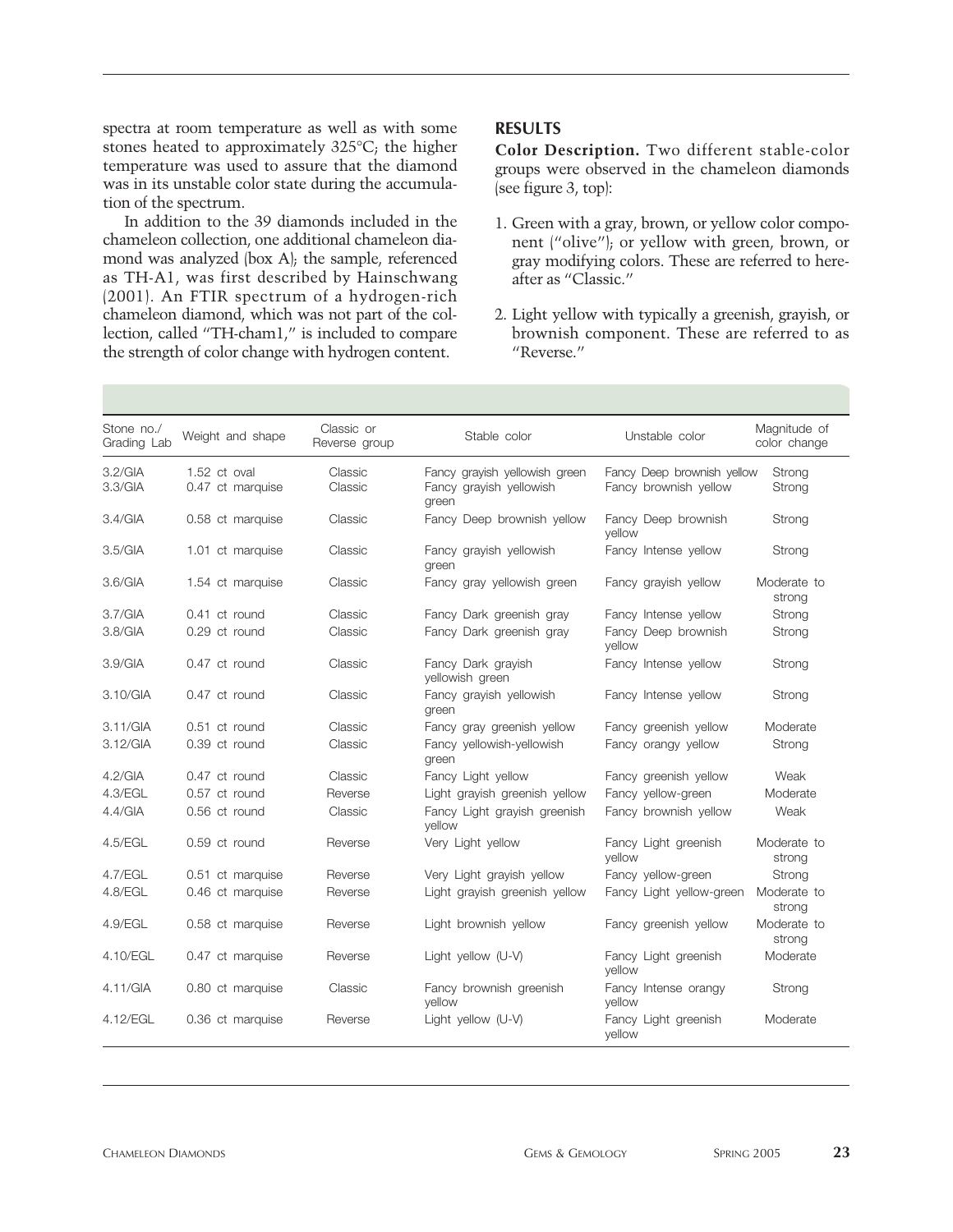spectra at room temperature as well as with some stones heated to approximately 325°C; the higher temperature was used to assure that the diamond was in its unstable color state during the accumulation of the spectrum.

In addition to the 39 diamonds included in the chameleon collection, one additional chameleon diamond was analyzed (box A); the sample, referenced as TH-A1, was first described by Hainschwang (2001). An FTIR spectrum of a hydrogen-rich chameleon diamond, which was not part of the collection, called "TH-cham1," is included to compare the strength of color change with hydrogen content.

# **RESULTS**

**Color Description.** Two different stable-color groups were observed in the chameleon diamonds (see figure 3, top):

- 1. Green with a gray, brown, or yellow color component ("olive"); or yellow with green, brown, or gray modifying colors. These are referred to hereafter as "Classic."
- 2. Light yellow with typically a greenish, grayish, or brownish component. These are referred to as "Reverse."

| Stone no./<br>Grading Lab | Weight and shape                 | Classic or<br>Reverse group | Stable color                                                      | Unstable color                                      | Magnitude of<br>color change |
|---------------------------|----------------------------------|-----------------------------|-------------------------------------------------------------------|-----------------------------------------------------|------------------------------|
| 3.2/GIA<br>3.3/GIA        | 1.52 ct oval<br>0.47 ct marquise | Classic<br>Classic          | Fancy grayish yellowish green<br>Fancy grayish yellowish<br>green | Fancy Deep brownish yellow<br>Fancy brownish yellow | Strong<br>Strong             |
| 3.4/GIA                   | 0.58 ct marquise                 | Classic                     | Fancy Deep brownish yellow                                        | Fancy Deep brownish<br>vellow                       | Strong                       |
| 3.5/GIA                   | 1.01 ct marquise                 | Classic                     | Fancy grayish yellowish<br>green                                  | Fancy Intense yellow                                | Strong                       |
| 3.6/GIA                   | 1.54 ct marquise                 | Classic                     | Fancy gray yellowish green                                        | Fancy grayish yellow                                | Moderate to<br>strong        |
| 3.7/GIA                   | 0.41 ct round                    | Classic                     | Fancy Dark greenish gray                                          | Fancy Intense yellow                                | Strong                       |
| 3.8/GIA                   | 0.29 ct round                    | Classic                     | Fancy Dark greenish gray                                          | Fancy Deep brownish<br>vellow                       | Strong                       |
| 3.9/GIA                   | 0.47 ct round                    | Classic                     | Fancy Dark grayish<br>yellowish green                             | Fancy Intense yellow                                | Strong                       |
| 3.10/GIA                  | 0.47 ct round                    | Classic                     | Fancy grayish yellowish<br>green                                  | Fancy Intense yellow                                | Strong                       |
| 3.11/GIA                  | 0.51 ct round                    | Classic                     | Fancy gray greenish yellow                                        | Fancy greenish yellow                               | Moderate                     |
| 3.12/GIA                  | 0.39 ct round                    | Classic                     | Fancy yellowish-yellowish<br>green                                | Fancy orangy yellow                                 | Strong                       |
| 4.2/GIA                   | 0.47 ct round                    | Classic                     | Fancy Light yellow                                                | Fancy greenish yellow                               | Weak                         |
| 4.3/EGL                   | 0.57 ct round                    | Reverse                     | Light grayish greenish yellow                                     | Fancy yellow-green                                  | Moderate                     |
| 4.4/GIA                   | 0.56 ct round                    | Classic                     | Fancy Light grayish greenish<br>vellow                            | Fancy brownish yellow                               | Weak                         |
| 4.5/EGL                   | 0.59 ct round                    | Reverse                     | Very Light yellow                                                 | Fancy Light greenish<br>vellow                      | Moderate to<br>strong        |
| 4.7/EGL                   | 0.51 ct marquise                 | Reverse                     | Very Light grayish yellow                                         | Fancy yellow-green                                  | Strong                       |
| 4.8/EGL                   | 0.46 ct marquise                 | Reverse                     | Light grayish greenish yellow                                     | Fancy Light yellow-green                            | Moderate to<br>strong        |
| $4.9$ /EGL                | 0.58 ct marquise                 | Reverse                     | Light brownish yellow                                             | Fancy greenish yellow                               | Moderate to<br>strong        |
| 4.10/EGL                  | 0.47 ct marquise                 | Reverse                     | Light yellow (U-V)                                                | Fancy Light greenish<br>vellow                      | Moderate                     |
| 4.11/GIA                  | 0.80 ct marquise                 | Classic                     | Fancy brownish greenish<br>vellow                                 | Fancy Intense orangy<br>vellow                      | Strong                       |
| 4.12/EGL                  | 0.36 ct marquise                 | Reverse                     | Light yellow (U-V)                                                | Fancy Light greenish<br>yellow                      | Moderate                     |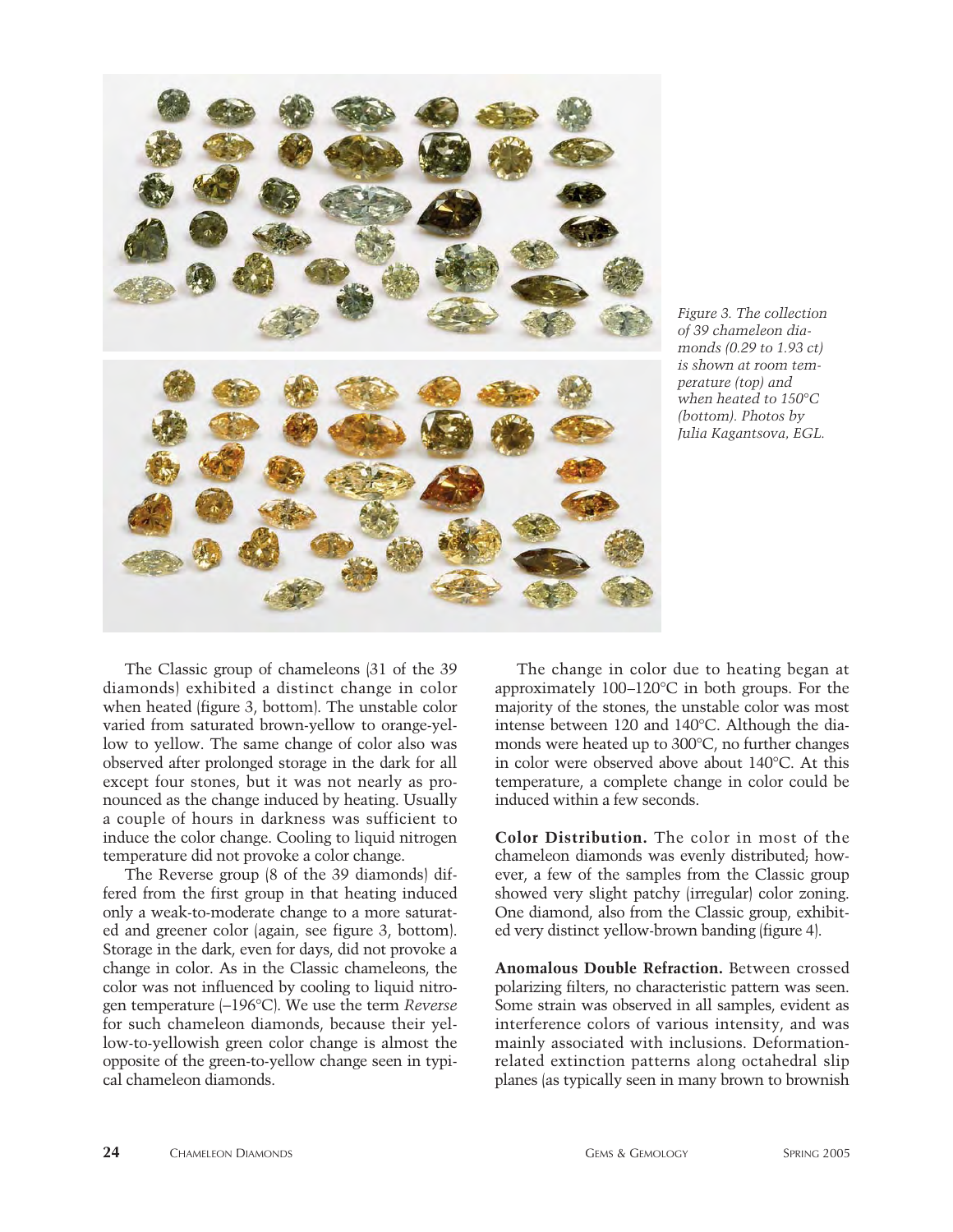

*Figure 3. The collection of 39 chameleon diamonds (0.29 to 1.93 ct) is shown at room temperature (top) and when heated to 150°C (bottom). Photos by Julia Kagantsova, EGL.*

The Classic group of chameleons (31 of the 39 diamonds) exhibited a distinct change in color when heated (figure 3, bottom). The unstable color varied from saturated brown-yellow to orange-yellow to yellow. The same change of color also was observed after prolonged storage in the dark for all except four stones, but it was not nearly as pronounced as the change induced by heating. Usually a couple of hours in darkness was sufficient to induce the color change. Cooling to liquid nitrogen temperature did not provoke a color change.

The Reverse group (8 of the 39 diamonds) differed from the first group in that heating induced only a weak-to-moderate change to a more saturated and greener color (again, see figure 3, bottom). Storage in the dark, even for days, did not provoke a change in color. As in the Classic chameleons, the color was not influenced by cooling to liquid nitrogen temperature (-196°C). We use the term *Reverse* for such chameleon diamonds, because their yellow-to-yellowish green color change is almost the opposite of the green-to-yellow change seen in typical chameleon diamonds.

The change in color due to heating began at approximately 100–120°C in both groups. For the majority of the stones, the unstable color was most intense between 120 and 140°C. Although the diamonds were heated up to 300°C, no further changes in color were observed above about 140°C. At this temperature, a complete change in color could be induced within a few seconds.

**Color Distribution.** The color in most of the chameleon diamonds was evenly distributed; however, a few of the samples from the Classic group showed very slight patchy (irregular) color zoning. One diamond, also from the Classic group, exhibited very distinct yellow-brown banding (figure 4).

**Anomalous Double Refraction.** Between crossed polarizing filters, no characteristic pattern was seen. Some strain was observed in all samples, evident as interference colors of various intensity, and was mainly associated with inclusions. Deformationrelated extinction patterns along octahedral slip planes (as typically seen in many brown to brownish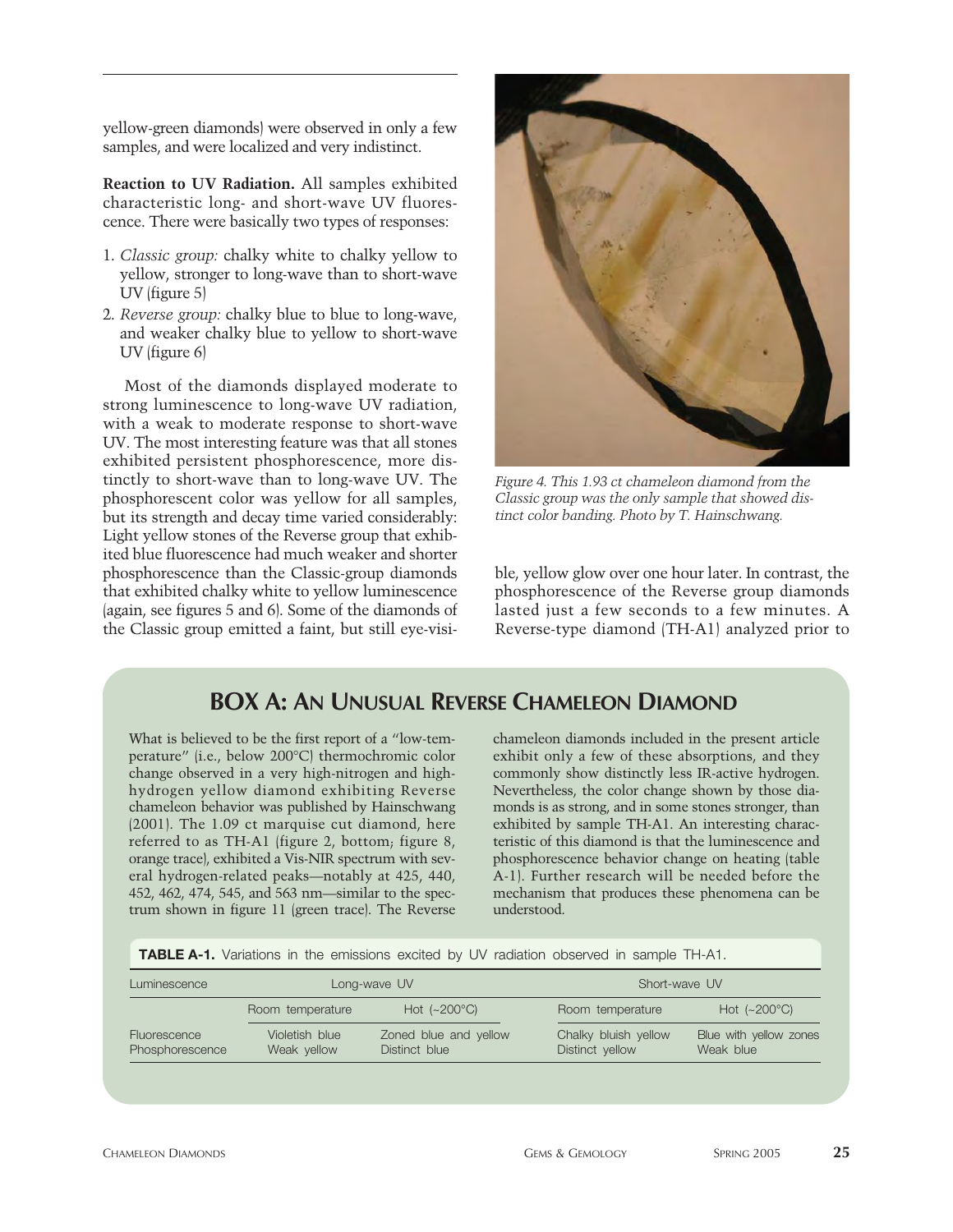yellow-green diamonds) were observed in only a few samples, and were localized and very indistinct.

**Reaction to UV Radiation.** All samples exhibited characteristic long- and short-wave UV fluorescence. There were basically two types of responses:

- 1. *Classic group:* chalky white to chalky yellow to yellow, stronger to long-wave than to short-wave UV (figure 5)
- 2. *Reverse group:* chalky blue to blue to long-wave, and weaker chalky blue to yellow to short-wave UV (figure 6)

Most of the diamonds displayed moderate to strong luminescence to long-wave UV radiation, with a weak to moderate response to short-wave UV. The most interesting feature was that all stones exhibited persistent phosphorescence, more distinctly to short-wave than to long-wave UV. The phosphorescent color was yellow for all samples, but its strength and decay time varied considerably: Light yellow stones of the Reverse group that exhibited blue fluorescence had much weaker and shorter phosphorescence than the Classic-group diamonds that exhibited chalky white to yellow luminescence (again, see figures 5 and 6). Some of the diamonds of the Classic group emitted a faint, but still eye-visi-



*Figure 4. This 1.93 ct chameleon diamond from the Classic group was the only sample that showed distinct color banding. Photo by T. Hainschwang.*

ble, yellow glow over one hour later. In contrast, the phosphorescence of the Reverse group diamonds lasted just a few seconds to a few minutes. A Reverse-type diamond (TH-A1) analyzed prior to

# **BOX A: AN UNUSUAL REVERSE CHAMELEON DIAMOND**

What is believed to be the first report of a "low-temperature" (i.e., below 200°C) thermochromic color change observed in a very high-nitrogen and highhydrogen yellow diamond exhibiting Reverse chameleon behavior was published by Hainschwang (2001). The 1.09 ct marquise cut diamond, here referred to as TH-A1 (figure 2, bottom; figure 8, orange trace), exhibited a Vis-NIR spectrum with several hydrogen-related peaks—notably at 425, 440, 452, 462, 474, 545, and 563 nm—similar to the spectrum shown in figure 11 (green trace). The Reverse

chameleon diamonds included in the present article exhibit only a few of these absorptions, and they commonly show distinctly less IR-active hydrogen. Nevertheless, the color change shown by those diamonds is as strong, and in some stones stronger, than exhibited by sample TH-A1. An interesting characteristic of this diamond is that the luminescence and phosphorescence behavior change on heating (table A-1). Further research will be needed before the mechanism that produces these phenomena can be understood.

**TABLE A-1.** Variations in the emissions excited by UV radiation observed in sample TH-A1.

| Luminescence                    |                               | Long-wave UV                           | Short-wave UV                           |                                     |  |
|---------------------------------|-------------------------------|----------------------------------------|-----------------------------------------|-------------------------------------|--|
|                                 | Room temperature              | Hot $(-200^{\circ}C)$                  | Room temperature                        | Hot $(-200^{\circ}C)$               |  |
| Fluorescence<br>Phosphorescence | Violetish blue<br>Weak yellow | Zoned blue and yellow<br>Distinct blue | Chalky bluish yellow<br>Distinct yellow | Blue with yellow zones<br>Weak blue |  |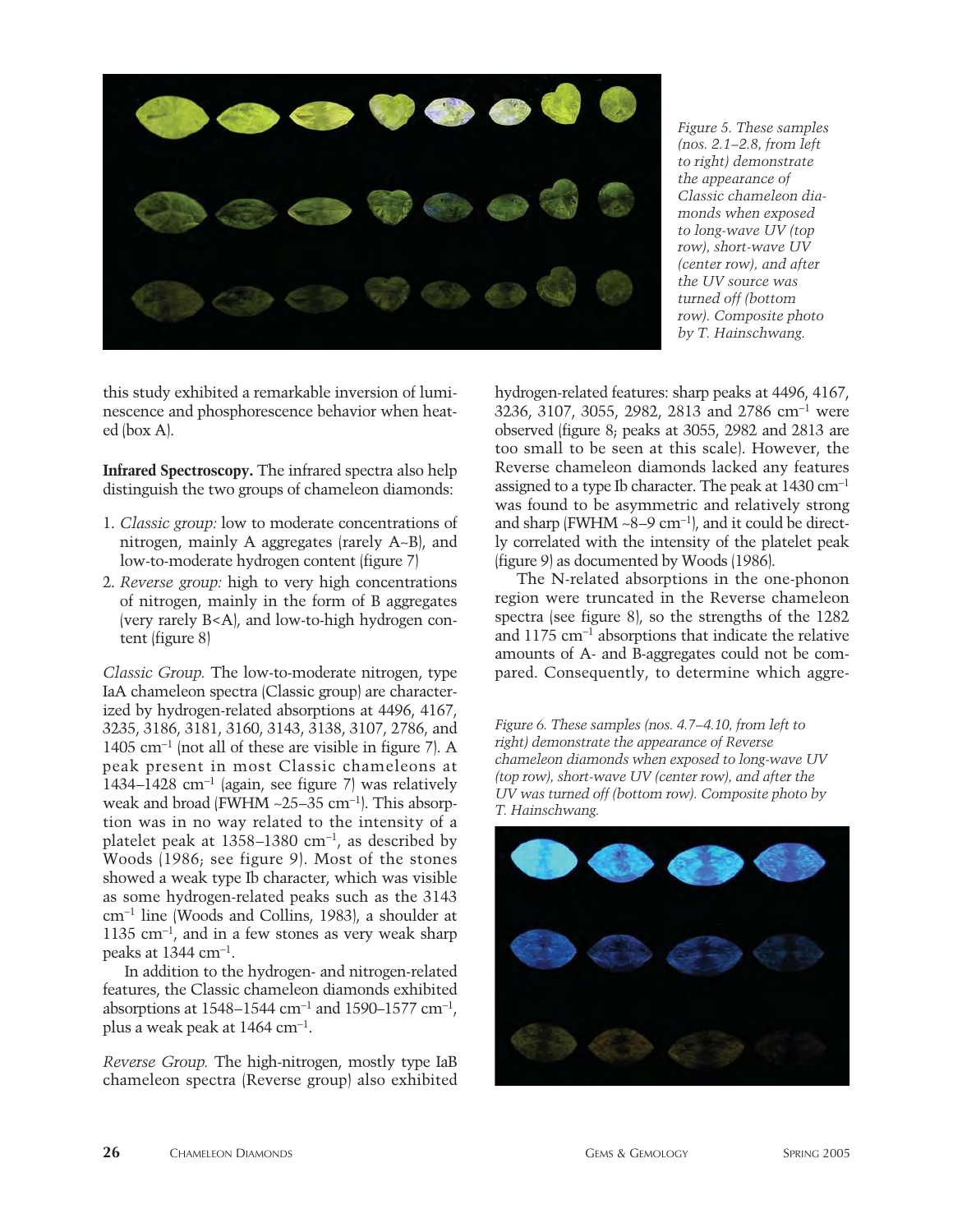

*Figure 5. These samples (nos. 2.1–2.8, from left to right) demonstrate the appearance of Classic chameleon diamonds when exposed to long-wave UV (top row), short-wave UV (center row), and after the UV source was turned off (bottom row). Composite photo by T. Hainschwang.*

this study exhibited a remarkable inversion of luminescence and phosphorescence behavior when heated (box A).

**Infrared Spectroscopy.** The infrared spectra also help distinguish the two groups of chameleon diamonds:

- 1. *Classic group:* low to moderate concentrations of nitrogen, mainly A aggregates (rarely A~B), and low-to-moderate hydrogen content (figure 7)
- 2. *Reverse group:* high to very high concentrations of nitrogen, mainly in the form of B aggregates (very rarely B<A), and low-to-high hydrogen content (figure 8)

*Classic Group.* The low-to-moderate nitrogen, type IaA chameleon spectra (Classic group) are characterized by hydrogen-related absorptions at 4496, 4167, 3235, 3186, 3181, 3160, 3143, 3138, 3107, 2786, and 1405 cm-<sup>1</sup> (not all of these are visible in figure 7). A peak present in most Classic chameleons at 1434–1428 cm-<sup>1</sup> (again, see figure 7) was relatively weak and broad (FWHM ~25–35 cm<sup>-1</sup>). This absorption was in no way related to the intensity of a platelet peak at 1358–1380 cm-1, as described by Woods (1986; see figure 9). Most of the stones showed a weak type Ib character, which was visible as some hydrogen-related peaks such as the 3143 cm-<sup>1</sup> line (Woods and Collins, 1983), a shoulder at  $1135 \text{ cm}^{-1}$ , and in a few stones as very weak sharp peaks at 1344 cm-1.

In addition to the hydrogen- and nitrogen-related features, the Classic chameleon diamonds exhibited absorptions at  $1548 - 1544$  cm<sup>-1</sup> and  $1590 - 1577$  cm<sup>-1</sup>, plus a weak peak at 1464 cm-1.

*Reverse Group.* The high-nitrogen, mostly type IaB chameleon spectra (Reverse group) also exhibited hydrogen-related features: sharp peaks at 4496, 4167, 3236, 3107, 3055, 2982, 2813 and 2786 cm-<sup>1</sup> were observed (figure 8; peaks at 3055, 2982 and 2813 are too small to be seen at this scale). However, the Reverse chameleon diamonds lacked any features assigned to a type Ib character. The peak at 1430 cm-<sup>1</sup> was found to be asymmetric and relatively strong and sharp (FWHM  $\sim$ 8–9 cm<sup>-1</sup>), and it could be directly correlated with the intensity of the platelet peak (figure 9) as documented by Woods (1986).

The N-related absorptions in the one-phonon region were truncated in the Reverse chameleon spectra (see figure 8), so the strengths of the 1282 and 1175 cm-<sup>1</sup> absorptions that indicate the relative amounts of A- and B-aggregates could not be compared. Consequently, to determine which aggre-

*Figure 6. These samples (nos. 4.7–4.10, from left to right) demonstrate the appearance of Reverse chameleon diamonds when exposed to long-wave UV (top row), short-wave UV (center row), and after the UV was turned off (bottom row). Composite photo by T. Hainschwang.*

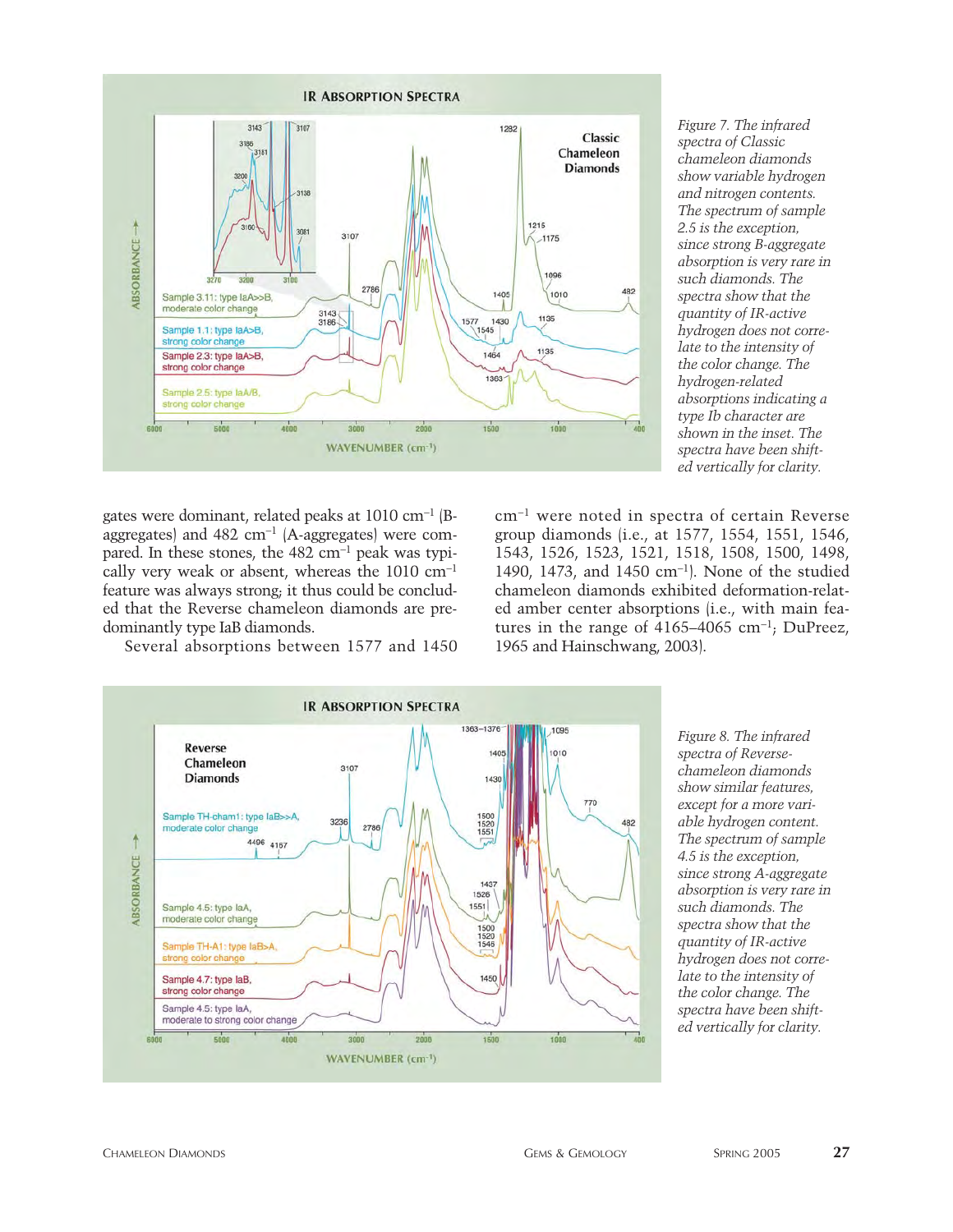

*Figure 7. The infrared spectra of Classic chameleon diamonds show variable hydrogen and nitrogen contents. The spectrum of sample 2.5 is the exception, since strong B-aggregate absorption is very rare in such diamonds. The spectra show that the quantity of IR-active hydrogen does not correlate to the intensity of the color change. The hydrogen-related absorptions indicating a type Ib character are shown in the inset. The spectra have been shifted vertically for clarity.* 

gates were dominant, related peaks at 1010 cm-<sup>1</sup> (Baggregates) and 482 cm-<sup>1</sup> (A-aggregates) were compared. In these stones, the  $482 \text{ cm}^{-1}$  peak was typically very weak or absent, whereas the 1010 cm-<sup>1</sup> feature was always strong; it thus could be concluded that the Reverse chameleon diamonds are predominantly type IaB diamonds.

Several absorptions between 1577 and 1450

cm-<sup>1</sup> were noted in spectra of certain Reverse group diamonds (i.e., at 1577, 1554, 1551, 1546, 1543, 1526, 1523, 1521, 1518, 1508, 1500, 1498, 1490, 1473, and 1450 cm-1). None of the studied chameleon diamonds exhibited deformation-related amber center absorptions (i.e., with main features in the range of  $4165-4065$  cm<sup>-1</sup>; DuPreez, 1965 and Hainschwang, 2003).



*Figure 8. The infrared spectra of Reversechameleon diamonds show similar features, except for a more variable hydrogen content. The spectrum of sample 4.5 is the exception, since strong A-aggregate absorption is very rare in such diamonds. The spectra show that the quantity of IR-active hydrogen does not correlate to the intensity of the color change. The spectra have been shifted vertically for clarity.*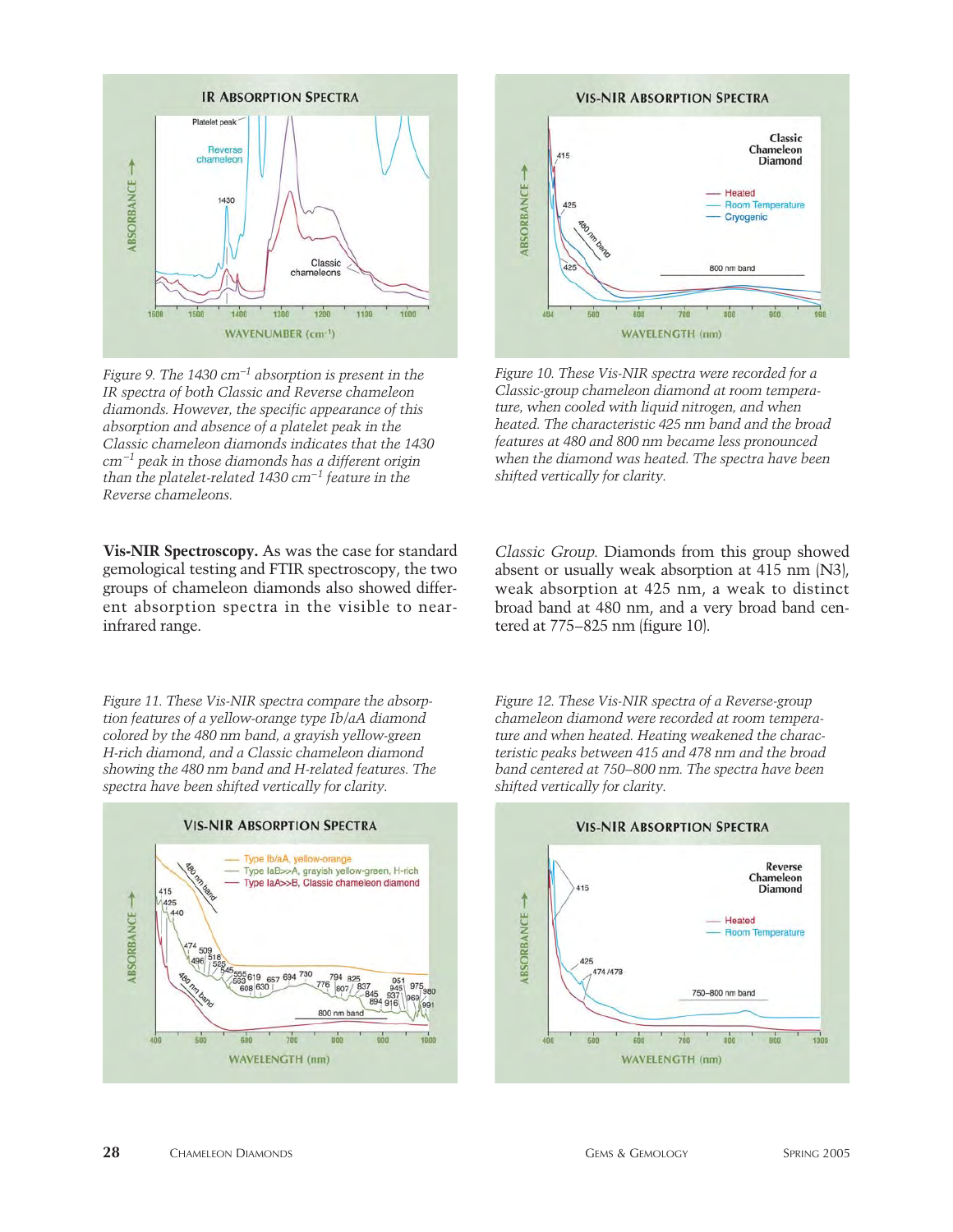

*Figure 9. The 1430 cm*-*<sup>1</sup> absorption is present in the IR spectra of both Classic and Reverse chameleon diamonds. However, the specific appearance of this absorption and absence of a platelet peak in the Classic chameleon diamonds indicates that the 1430 cm*-*<sup>1</sup> peak in those diamonds has a different origin than the platelet-related 1430 cm*-*<sup>1</sup> feature in the Reverse chameleons.*

**Vis-NIR Spectroscopy.** As was the case for standard gemological testing and FTIR spectroscopy, the two groups of chameleon diamonds also showed different absorption spectra in the visible to nearinfrared range.

*Figure 11. These Vis-NIR spectra compare the absorption features of a yellow-orange type Ib/aA diamond colored by the 480 nm band, a grayish yellow-green H-rich diamond, and a Classic chameleon diamond showing the 480 nm band and H-related features. The spectra have been shifted vertically for clarity.*





*Figure 10. These Vis-NIR spectra were recorded for a Classic-group chameleon diamond at room temperature, when cooled with liquid nitrogen, and when heated. The characteristic 425 nm band and the broad features at 480 and 800 nm became less pronounced when the diamond was heated. The spectra have been shifted vertically for clarity.*

**WAVELENGTH (nm)** 

*Classic Group.* Diamonds from this group showed absent or usually weak absorption at 415 nm (N3), weak absorption at 425 nm, a weak to distinct broad band at 480 nm, and a very broad band centered at 775–825 nm (figure 10).

*Figure 12. These Vis-NIR spectra of a Reverse-group chameleon diamond were recorded at room temperature and when heated. Heating weakened the characteristic peaks between 415 and 478 nm and the broad band centered at 750–800 nm. The spectra have been shifted vertically for clarity.*



#### **VIS-NIR ABSORPTION SPECTRA**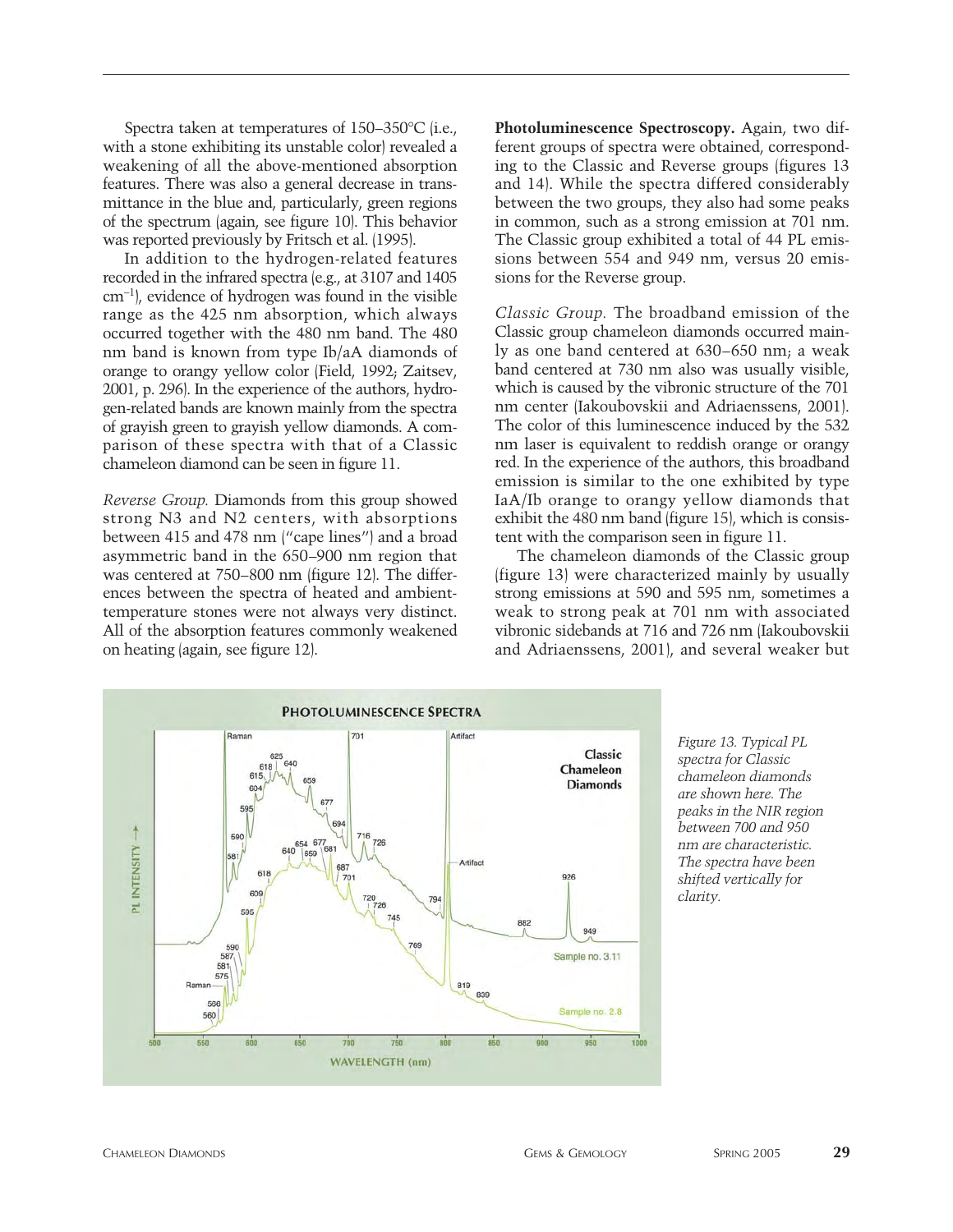Spectra taken at temperatures of 150–350°C (i.e., with a stone exhibiting its unstable color) revealed a weakening of all the above-mentioned absorption features. There was also a general decrease in transmittance in the blue and, particularly, green regions of the spectrum (again, see figure 10). This behavior was reported previously by Fritsch et al. (1995).

In addition to the hydrogen-related features recorded in the infrared spectra (e.g., at 3107 and 1405 cm-1), evidence of hydrogen was found in the visible range as the 425 nm absorption, which always occurred together with the 480 nm band. The 480 nm band is known from type Ib/aA diamonds of orange to orangy yellow color (Field, 1992; Zaitsev, 2001, p. 296). In the experience of the authors, hydrogen-related bands are known mainly from the spectra of grayish green to grayish yellow diamonds. A comparison of these spectra with that of a Classic chameleon diamond can be seen in figure 11.

*Reverse Group.* Diamonds from this group showed strong N3 and N2 centers, with absorptions between 415 and 478 nm ("cape lines") and a broad asymmetric band in the 650–900 nm region that was centered at 750–800 nm (figure 12). The differences between the spectra of heated and ambienttemperature stones were not always very distinct. All of the absorption features commonly weakened on heating (again, see figure 12).

**Photoluminescence Spectroscopy.** Again, two different groups of spectra were obtained, corresponding to the Classic and Reverse groups (figures 13 and 14). While the spectra differed considerably between the two groups, they also had some peaks in common, such as a strong emission at 701 nm. The Classic group exhibited a total of 44 PL emissions between 554 and 949 nm, versus 20 emissions for the Reverse group.

*Classic Group.* The broadband emission of the Classic group chameleon diamonds occurred mainly as one band centered at 630–650 nm; a weak band centered at 730 nm also was usually visible, which is caused by the vibronic structure of the 701 nm center (Iakoubovskii and Adriaenssens, 2001). The color of this luminescence induced by the 532 nm laser is equivalent to reddish orange or orangy red. In the experience of the authors, this broadband emission is similar to the one exhibited by type IaA/Ib orange to orangy yellow diamonds that exhibit the 480 nm band (figure 15), which is consistent with the comparison seen in figure 11.

The chameleon diamonds of the Classic group (figure 13) were characterized mainly by usually strong emissions at 590 and 595 nm, sometimes a weak to strong peak at 701 nm with associated vibronic sidebands at 716 and 726 nm (Iakoubovskii and Adriaenssens, 2001), and several weaker but



*Figure 13. Typical PL spectra for Classic chameleon diamonds are shown here. The peaks in the NIR region between 700 and 950 nm are characteristic. The spectra have been shifted vertically for clarity.*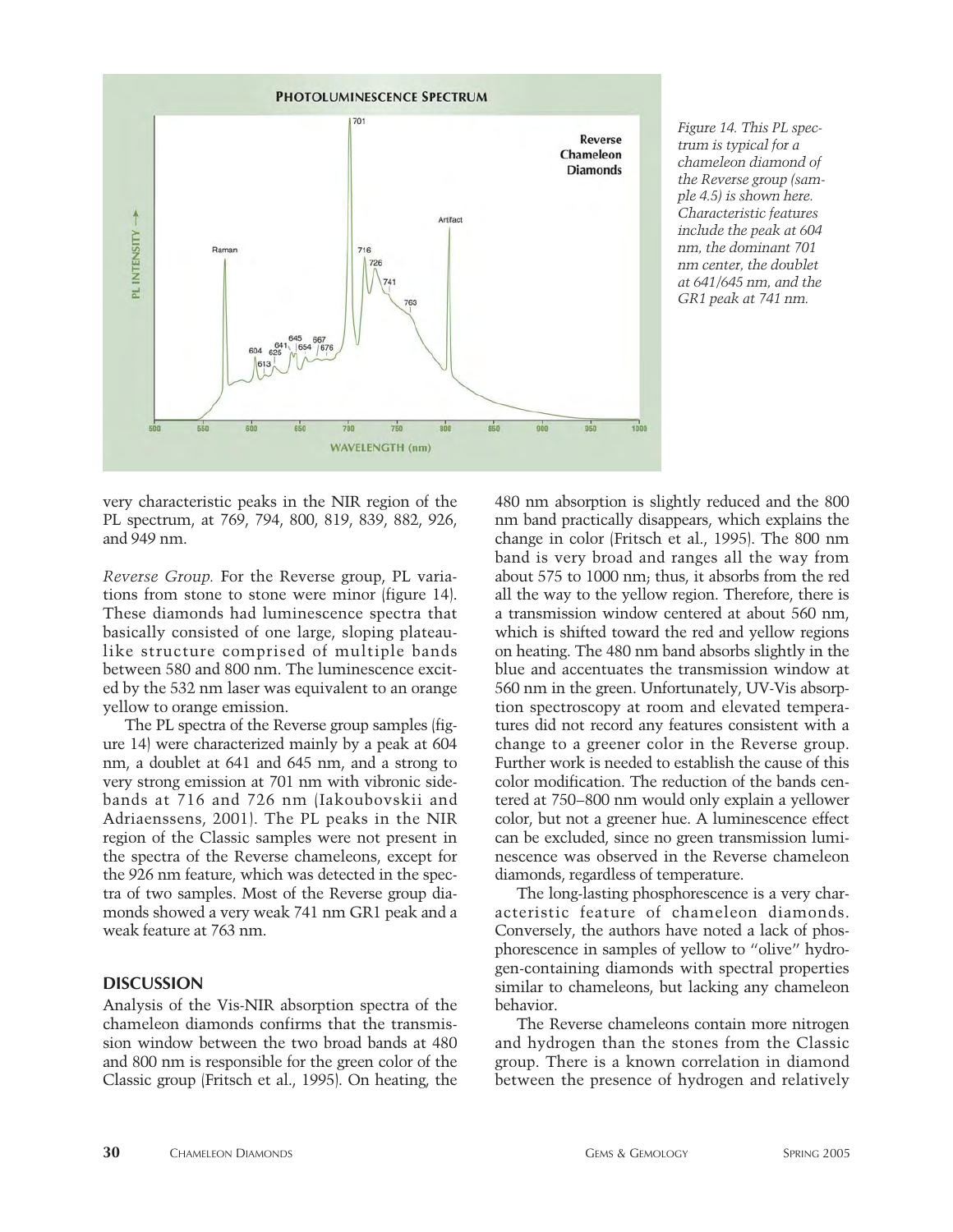

*Figure 14. This PL spectrum is typical for a chameleon diamond of the Reverse group (sample 4.5) is shown here. Characteristic features include the peak at 604 nm, the dominant 701 nm center, the doublet at 641/645 nm, and the GR1 peak at 741 nm.*

very characteristic peaks in the NIR region of the PL spectrum, at 769, 794, 800, 819, 839, 882, 926, and 949 nm.

*Reverse Group.* For the Reverse group, PL variations from stone to stone were minor (figure 14). These diamonds had luminescence spectra that basically consisted of one large, sloping plateaulike structure comprised of multiple bands between 580 and 800 nm. The luminescence excited by the 532 nm laser was equivalent to an orange yellow to orange emission.

The PL spectra of the Reverse group samples (figure 14) were characterized mainly by a peak at 604 nm, a doublet at 641 and 645 nm, and a strong to very strong emission at 701 nm with vibronic sidebands at 716 and 726 nm (Iakoubovskii and Adriaenssens, 2001). The PL peaks in the NIR region of the Classic samples were not present in the spectra of the Reverse chameleons, except for the 926 nm feature, which was detected in the spectra of two samples. Most of the Reverse group diamonds showed a very weak 741 nm GR1 peak and a weak feature at 763 nm.

# **DISCUSSION**

Analysis of the Vis-NIR absorption spectra of the chameleon diamonds confirms that the transmission window between the two broad bands at 480 and 800 nm is responsible for the green color of the Classic group (Fritsch et al., 1995). On heating, the 480 nm absorption is slightly reduced and the 800 nm band practically disappears, which explains the change in color (Fritsch et al., 1995). The 800 nm band is very broad and ranges all the way from about 575 to 1000 nm; thus, it absorbs from the red all the way to the yellow region. Therefore, there is a transmission window centered at about 560 nm, which is shifted toward the red and yellow regions on heating. The 480 nm band absorbs slightly in the blue and accentuates the transmission window at 560 nm in the green. Unfortunately, UV-Vis absorption spectroscopy at room and elevated temperatures did not record any features consistent with a change to a greener color in the Reverse group. Further work is needed to establish the cause of this color modification. The reduction of the bands centered at 750–800 nm would only explain a yellower color, but not a greener hue. A luminescence effect can be excluded, since no green transmission luminescence was observed in the Reverse chameleon diamonds, regardless of temperature.

The long-lasting phosphorescence is a very characteristic feature of chameleon diamonds. Conversely, the authors have noted a lack of phosphorescence in samples of yellow to "olive" hydrogen-containing diamonds with spectral properties similar to chameleons, but lacking any chameleon behavior.

The Reverse chameleons contain more nitrogen and hydrogen than the stones from the Classic group. There is a known correlation in diamond between the presence of hydrogen and relatively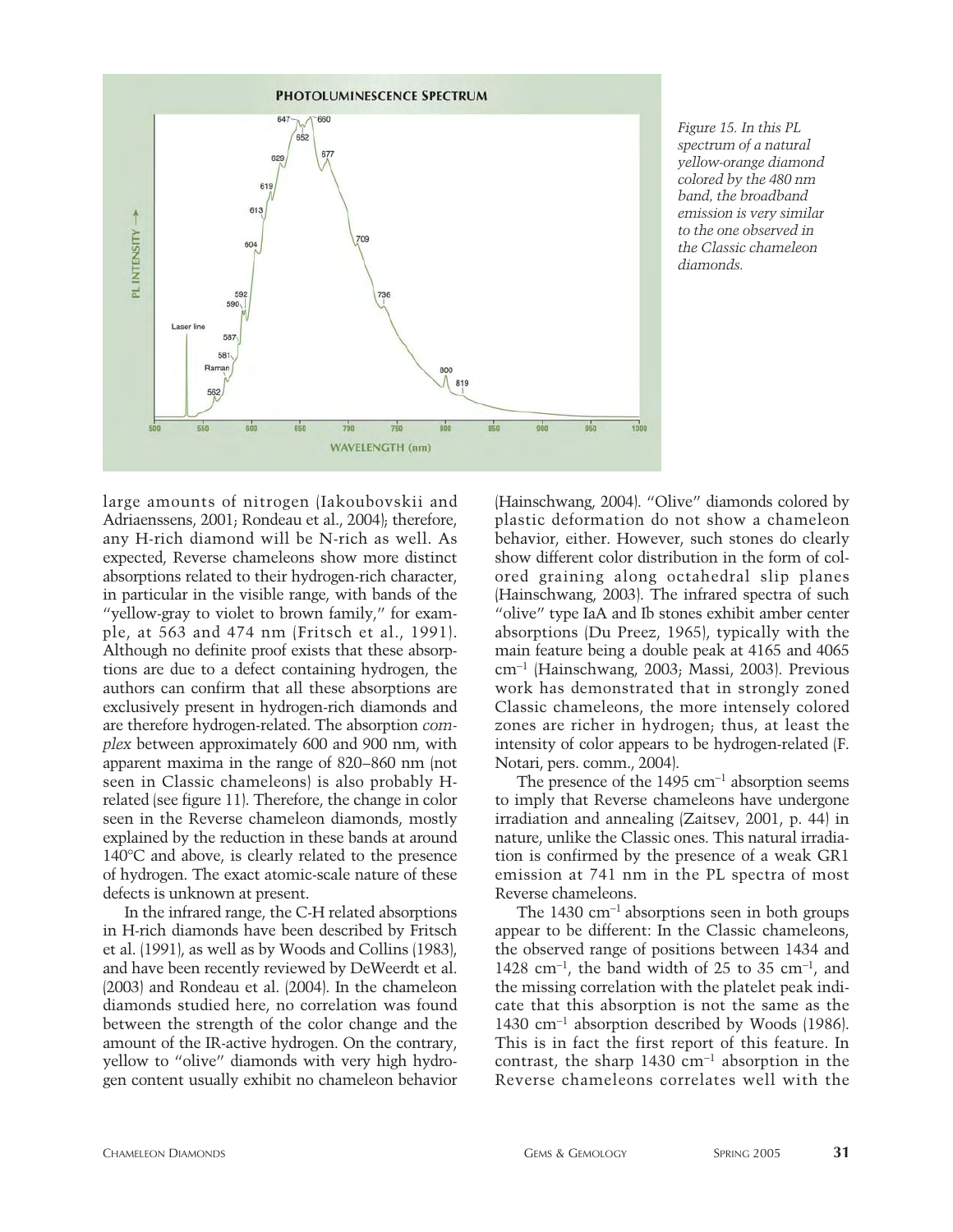

*Figure 15. In this PL spectrum of a natural yellow-orange diamond colored by the 480 nm band, the broadband emission is very similar to the one observed in the Classic chameleon diamonds.*

large amounts of nitrogen (Iakoubovskii and Adriaenssens, 2001; Rondeau et al., 2004); therefore, any H-rich diamond will be N-rich as well. As expected, Reverse chameleons show more distinct absorptions related to their hydrogen-rich character, in particular in the visible range, with bands of the "yellow-gray to violet to brown family," for example, at 563 and 474 nm (Fritsch et al., 1991). Although no definite proof exists that these absorptions are due to a defect containing hydrogen, the authors can confirm that all these absorptions are exclusively present in hydrogen-rich diamonds and are therefore hydrogen-related. The absorption *complex* between approximately 600 and 900 nm, with apparent maxima in the range of 820–860 nm (not seen in Classic chameleons) is also probably Hrelated (see figure 11). Therefore, the change in color seen in the Reverse chameleon diamonds, mostly explained by the reduction in these bands at around 140°C and above, is clearly related to the presence of hydrogen. The exact atomic-scale nature of these defects is unknown at present.

In the infrared range, the C-H related absorptions in H-rich diamonds have been described by Fritsch et al. (1991), as well as by Woods and Collins (1983), and have been recently reviewed by DeWeerdt et al. (2003) and Rondeau et al. (2004). In the chameleon diamonds studied here, no correlation was found between the strength of the color change and the amount of the IR-active hydrogen. On the contrary, yellow to "olive" diamonds with very high hydrogen content usually exhibit no chameleon behavior

(Hainschwang, 2004). "Olive" diamonds colored by plastic deformation do not show a chameleon behavior, either. However, such stones do clearly show different color distribution in the form of colored graining along octahedral slip planes (Hainschwang, 2003). The infrared spectra of such "olive" type IaA and Ib stones exhibit amber center absorptions (Du Preez, 1965), typically with the main feature being a double peak at 4165 and 4065 cm-<sup>1</sup> (Hainschwang, 2003; Massi, 2003). Previous work has demonstrated that in strongly zoned Classic chameleons, the more intensely colored zones are richer in hydrogen; thus, at least the intensity of color appears to be hydrogen-related (F. Notari, pers. comm., 2004).

The presence of the  $1495 \text{ cm}^{-1}$  absorption seems to imply that Reverse chameleons have undergone irradiation and annealing (Zaitsev, 2001, p. 44) in nature, unlike the Classic ones. This natural irradiation is confirmed by the presence of a weak GR1 emission at 741 nm in the PL spectra of most Reverse chameleons.

The  $1430 \text{ cm}^{-1}$  absorptions seen in both groups appear to be different: In the Classic chameleons, the observed range of positions between 1434 and 1428 cm<sup>-1</sup>, the band width of 25 to 35 cm<sup>-1</sup>, and the missing correlation with the platelet peak indicate that this absorption is not the same as the 1430 cm-<sup>1</sup> absorption described by Woods (1986). This is in fact the first report of this feature. In contrast, the sharp  $1430 \text{ cm}^{-1}$  absorption in the Reverse chameleons correlates well with the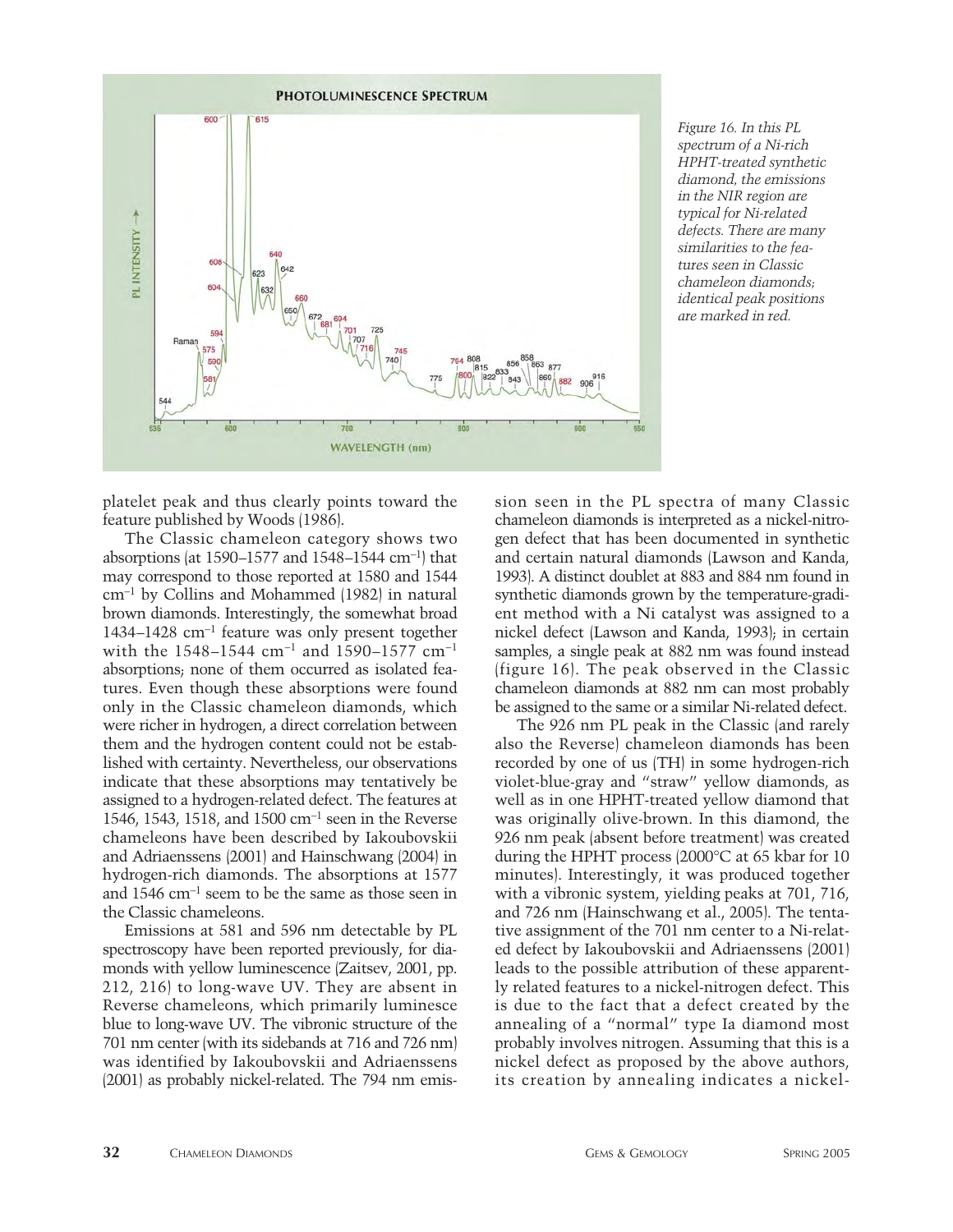

*Figure 16. In this PL spectrum of a Ni-rich HPHT-treated synthetic diamond, the emissions in the NIR region are typical for Ni-related defects. There are many similarities to the features seen in Classic chameleon diamonds; identical peak positions are marked in red.*

platelet peak and thus clearly points toward the feature published by Woods (1986).

The Classic chameleon category shows two absorptions (at 1590–1577 and 1548–1544 cm-1) that may correspond to those reported at 1580 and 1544 cm-<sup>1</sup> by Collins and Mohammed (1982) in natural brown diamonds. Interestingly, the somewhat broad 1434–1428 cm-<sup>1</sup> feature was only present together with the 1548–1544 cm-<sup>1</sup> and 1590–1577 cm-<sup>1</sup> absorptions; none of them occurred as isolated features. Even though these absorptions were found only in the Classic chameleon diamonds, which were richer in hydrogen, a direct correlation between them and the hydrogen content could not be established with certainty. Nevertheless, our observations indicate that these absorptions may tentatively be assigned to a hydrogen-related defect. The features at 1546, 1543, 1518, and 1500 cm-<sup>1</sup> seen in the Reverse chameleons have been described by Iakoubovskii and Adriaenssens (2001) and Hainschwang (2004) in hydrogen-rich diamonds. The absorptions at 1577 and 1546 cm-<sup>1</sup> seem to be the same as those seen in the Classic chameleons.

Emissions at 581 and 596 nm detectable by PL spectroscopy have been reported previously, for diamonds with yellow luminescence (Zaitsev, 2001, pp. 212, 216) to long-wave UV. They are absent in Reverse chameleons, which primarily luminesce blue to long-wave UV. The vibronic structure of the 701 nm center (with its sidebands at 716 and 726 nm) was identified by Iakoubovskii and Adriaenssens (2001) as probably nickel-related. The 794 nm emission seen in the PL spectra of many Classic chameleon diamonds is interpreted as a nickel-nitrogen defect that has been documented in synthetic and certain natural diamonds (Lawson and Kanda, 1993). A distinct doublet at 883 and 884 nm found in synthetic diamonds grown by the temperature-gradient method with a Ni catalyst was assigned to a nickel defect (Lawson and Kanda, 1993); in certain samples, a single peak at 882 nm was found instead (figure 16). The peak observed in the Classic chameleon diamonds at 882 nm can most probably be assigned to the same or a similar Ni-related defect.

The 926 nm PL peak in the Classic (and rarely also the Reverse) chameleon diamonds has been recorded by one of us (TH) in some hydrogen-rich violet-blue-gray and "straw" yellow diamonds, as well as in one HPHT-treated yellow diamond that was originally olive-brown. In this diamond, the 926 nm peak (absent before treatment) was created during the HPHT process (2000°C at 65 kbar for 10 minutes). Interestingly, it was produced together with a vibronic system, yielding peaks at 701, 716, and 726 nm (Hainschwang et al., 2005). The tentative assignment of the 701 nm center to a Ni-related defect by Iakoubovskii and Adriaenssens (2001) leads to the possible attribution of these apparently related features to a nickel-nitrogen defect. This is due to the fact that a defect created by the annealing of a "normal" type Ia diamond most probably involves nitrogen. Assuming that this is a nickel defect as proposed by the above authors, its creation by annealing indicates a nickel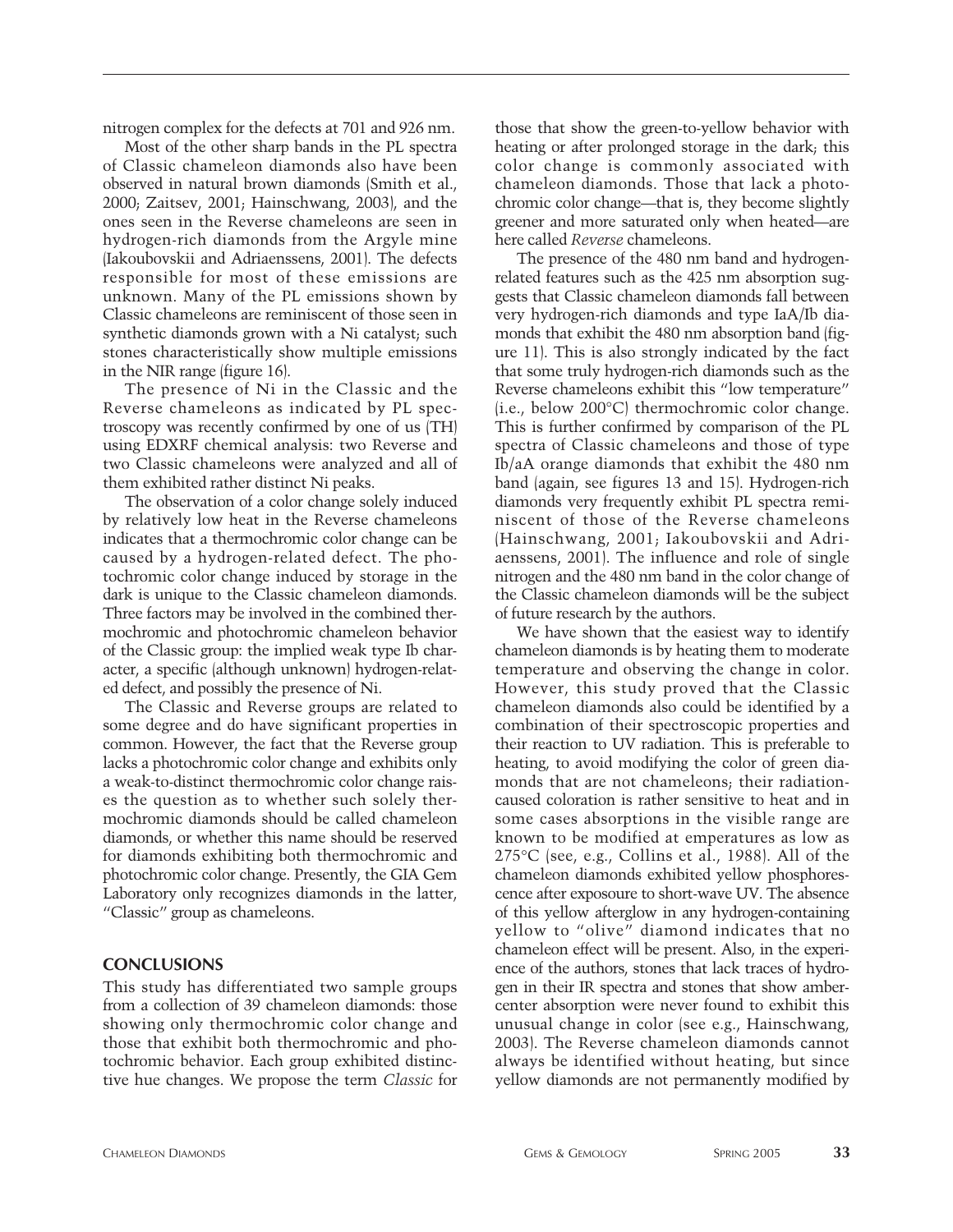nitrogen complex for the defects at 701 and 926 nm.

Most of the other sharp bands in the PL spectra of Classic chameleon diamonds also have been observed in natural brown diamonds (Smith et al., 2000; Zaitsev, 2001; Hainschwang, 2003), and the ones seen in the Reverse chameleons are seen in hydrogen-rich diamonds from the Argyle mine (Iakoubovskii and Adriaenssens, 2001). The defects responsible for most of these emissions are unknown. Many of the PL emissions shown by Classic chameleons are reminiscent of those seen in synthetic diamonds grown with a Ni catalyst; such stones characteristically show multiple emissions in the NIR range (figure 16).

The presence of Ni in the Classic and the Reverse chameleons as indicated by PL spectroscopy was recently confirmed by one of us (TH) using EDXRF chemical analysis: two Reverse and two Classic chameleons were analyzed and all of them exhibited rather distinct Ni peaks.

The observation of a color change solely induced by relatively low heat in the Reverse chameleons indicates that a thermochromic color change can be caused by a hydrogen-related defect. The photochromic color change induced by storage in the dark is unique to the Classic chameleon diamonds. Three factors may be involved in the combined thermochromic and photochromic chameleon behavior of the Classic group: the implied weak type Ib character, a specific (although unknown) hydrogen-related defect, and possibly the presence of Ni.

The Classic and Reverse groups are related to some degree and do have significant properties in common. However, the fact that the Reverse group lacks a photochromic color change and exhibits only a weak-to-distinct thermochromic color change raises the question as to whether such solely thermochromic diamonds should be called chameleon diamonds, or whether this name should be reserved for diamonds exhibiting both thermochromic and photochromic color change. Presently, the GIA Gem Laboratory only recognizes diamonds in the latter, "Classic" group as chameleons.

# **CONCLUSIONS**

This study has differentiated two sample groups from a collection of 39 chameleon diamonds: those showing only thermochromic color change and those that exhibit both thermochromic and photochromic behavior. Each group exhibited distinctive hue changes. We propose the term *Classic* for those that show the green-to-yellow behavior with heating or after prolonged storage in the dark; this color change is commonly associated with chameleon diamonds. Those that lack a photochromic color change—that is, they become slightly greener and more saturated only when heated—are here called *Reverse* chameleons.

The presence of the 480 nm band and hydrogenrelated features such as the 425 nm absorption suggests that Classic chameleon diamonds fall between very hydrogen-rich diamonds and type IaA/Ib diamonds that exhibit the 480 nm absorption band (figure 11). This is also strongly indicated by the fact that some truly hydrogen-rich diamonds such as the Reverse chameleons exhibit this "low temperature" (i.e., below 200°C) thermochromic color change. This is further confirmed by comparison of the PL spectra of Classic chameleons and those of type Ib/aA orange diamonds that exhibit the 480 nm band (again, see figures 13 and 15). Hydrogen-rich diamonds very frequently exhibit PL spectra reminiscent of those of the Reverse chameleons (Hainschwang, 2001; Iakoubovskii and Adriaenssens, 2001). The influence and role of single nitrogen and the 480 nm band in the color change of the Classic chameleon diamonds will be the subject of future research by the authors.

We have shown that the easiest way to identify chameleon diamonds is by heating them to moderate temperature and observing the change in color. However, this study proved that the Classic chameleon diamonds also could be identified by a combination of their spectroscopic properties and their reaction to UV radiation. This is preferable to heating, to avoid modifying the color of green diamonds that are not chameleons; their radiationcaused coloration is rather sensitive to heat and in some cases absorptions in the visible range are known to be modified at emperatures as low as 275°C (see, e.g., Collins et al., 1988). All of the chameleon diamonds exhibited yellow phosphorescence after exposoure to short-wave UV. The absence of this yellow afterglow in any hydrogen-containing yellow to "olive" diamond indicates that no chameleon effect will be present. Also, in the experience of the authors, stones that lack traces of hydrogen in their IR spectra and stones that show ambercenter absorption were never found to exhibit this unusual change in color (see e.g., Hainschwang, 2003). The Reverse chameleon diamonds cannot always be identified without heating, but since yellow diamonds are not permanently modified by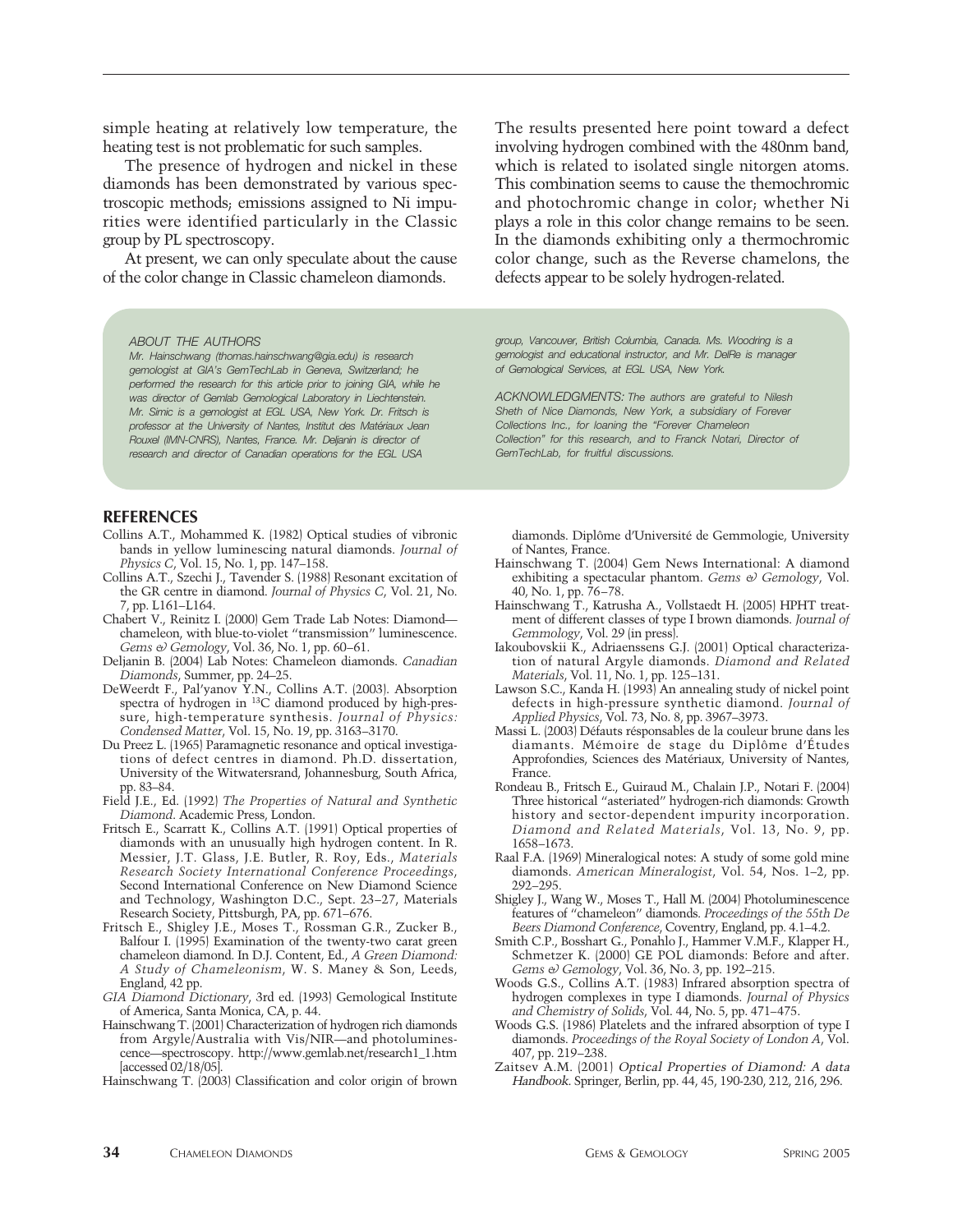simple heating at relatively low temperature, the heating test is not problematic for such samples.

The presence of hydrogen and nickel in these diamonds has been demonstrated by various spectroscopic methods; emissions assigned to Ni impurities were identified particularly in the Classic group by PL spectroscopy.

At present, we can only speculate about the cause of the color change in Classic chameleon diamonds.

#### *ABOUT THE AUTHORS*

*Mr. Hainschwang (thomas.hainschwang@gia.edu) is research gemologist at GIA's GemTechLab in Geneva, Switzerland; he performed the research for this article prior to joining GIA, while he was director of Gemlab Gemological Laboratory in Liechtenstein. Mr. Simic is a gemologist at EGL USA, New York. Dr. Fritsch is professor at the University of Nantes, Institut des Matériaux Jean Rouxel (IMN-CNRS), Nantes, France. Mr. Deljanin is director of research and director of Canadian operations for the EGL USA*

#### **REFERENCES**

- Collins A.T., Mohammed K. (1982) Optical studies of vibronic bands in yellow luminescing natural diamonds. *Journal of Physics C*, Vol. 15, No. 1, pp. 147–158.
- Collins A.T., Szechi J., Tavender S. (1988) Resonant excitation of the GR centre in diamond. *Journal of Physics C*, Vol. 21, No. 7, pp. L161–L164.
- Chabert V., Reinitz I. (2000) Gem Trade Lab Notes: Diamond chameleon, with blue-to-violet "transmission" luminescence. *Gems & Gemology*, Vol. 36, No. 1, pp. 60–61.
- Deljanin B. (2004) Lab Notes: Chameleon diamonds. *Canadian Diamonds*, Summer, pp. 24–25.
- DeWeerdt F., Pal'yanov Y.N., Collins A.T. (2003). Absorption spectra of hydrogen in 13C diamond produced by high-pressure, high-temperature synthesis. *Journal of Physics: Condensed Matter*, Vol. 15, No. 19, pp. 3163–3170.
- Du Preez L. (1965) Paramagnetic resonance and optical investigations of defect centres in diamond. Ph.D. dissertation, University of the Witwatersrand, Johannesburg, South Africa, pp. 83–84.
- Field J.E., Ed. (1992) *The Properties of Natural and Synthetic Diamond*. Academic Press, London.
- Fritsch E., Scarratt K., Collins A.T. (1991) Optical properties of diamonds with an unusually high hydrogen content. In R. Messier, J.T. Glass, J.E. Butler, R. Roy, Eds., *Materials Research Society International Conference Proceedings*, Second International Conference on New Diamond Science and Technology, Washington D.C., Sept. 23–27, Materials Research Society, Pittsburgh, PA, pp. 671–676.
- Fritsch E., Shigley J.E., Moses T., Rossman G.R., Zucker B., Balfour I. (1995) Examination of the twenty-two carat green chameleon diamond. In D.J. Content, Ed., *A Green Diamond: A Study of Chameleonism*, W. S. Maney & Son, Leeds, England, 42 pp.
- *GIA Diamond Dictionary*, 3rd ed. (1993) Gemological Institute of America, Santa Monica, CA, p. 44.
- Hainschwang T. (2001) Characterization of hydrogen rich diamonds from Argyle/Australia with Vis/NIR—and photoluminescence—spectroscopy. http://www.gemlab.net/research1\_1.htm [accessed 02/18/05].
- Hainschwang T. (2003) Classification and color origin of brown

The results presented here point toward a defect involving hydrogen combined with the 480nm band, which is related to isolated single nitorgen atoms. This combination seems to cause the themochromic and photochromic change in color; whether Ni plays a role in this color change remains to be seen. In the diamonds exhibiting only a thermochromic color change, such as the Reverse chamelons, the defects appear to be solely hydrogen-related.

*group, Vancouver, British Columbia, Canada. Ms. Woodring is a gemologist and educational instructor, and Mr. DelRe is manager of Gemological Services, at EGL USA, New York.*

*ACKNOWLEDGMENTS: The authors are grateful to Nilesh Sheth of Nice Diamonds, New York, a subsidiary of Forever Collections Inc., for loaning the "Forever Chameleon Collection" for this research, and to Franck Notari, Director of GemTechLab, for fruitful discussions.*

diamonds. Diplôme d'Université de Gemmologie, University of Nantes, France.

- Hainschwang T. (2004) Gem News International: A diamond exhibiting a spectacular phantom. *Gems & Gemology*, Vol. 40, No. 1, pp. 76–78.
- Hainschwang T., Katrusha A., Vollstaedt H. (2005) HPHT treatment of different classes of type I brown diamonds. *Journal of Gemmology*, Vol. 29 (in press).
- Iakoubovskii K., Adriaenssens G.J. (2001) Optical characterization of natural Argyle diamonds. *Diamond and Related Materials*, Vol. 11, No. 1, pp. 125–131.
- Lawson S.C., Kanda H. (1993) An annealing study of nickel point defects in high-pressure synthetic diamond. *Journal of Applied Physics*, Vol. 73, No. 8, pp. 3967–3973.
- Massi L. (2003) Défauts résponsables de la couleur brune dans les diamants. Mémoire de stage du Diplôme d'Études Approfondies, Sciences des Matériaux, University of Nantes, France.
- Rondeau B., Fritsch E., Guiraud M., Chalain J.P., Notari F. (2004) Three historical "asteriated" hydrogen-rich diamonds: Growth history and sector-dependent impurity incorporation. *Diamond and Related Materials*, Vol. 13, No. 9, pp. 1658–1673.
- Raal F.A. (1969) Mineralogical notes: A study of some gold mine diamonds. *American Mineralogist*, Vol. 54, Nos. 1–2, pp. 292–295.
- Shigley J., Wang W., Moses T., Hall M. (2004) Photoluminescence features of "chameleon" diamonds. *Proceedings of the 55th De Beers Diamond Conference*, Coventry, England, pp. 4.1–4.2.
- Smith C.P., Bosshart G., Ponahlo J., Hammer V.M.F., Klapper H., Schmetzer K. (2000) GE POL diamonds: Before and after. *Gems & Gemology*, Vol. 36, No. 3, pp. 192–215.
- Woods G.S., Collins A.T. (1983) Infrared absorption spectra of hydrogen complexes in type I diamonds. *Journal of Physics and Chemistry of Solids*, Vol. 44, No. 5, pp. 471–475.
- Woods G.S. (1986) Platelets and the infrared absorption of type I diamonds. *Proceedings of the Royal Society of London A*, Vol. 407, pp. 219–238.
- Zaitsev A.M. (2001) Optical Properties of Diamond: A data Handbook. Springer, Berlin, pp. 44, 45, 190-230, 212, 216, 296.